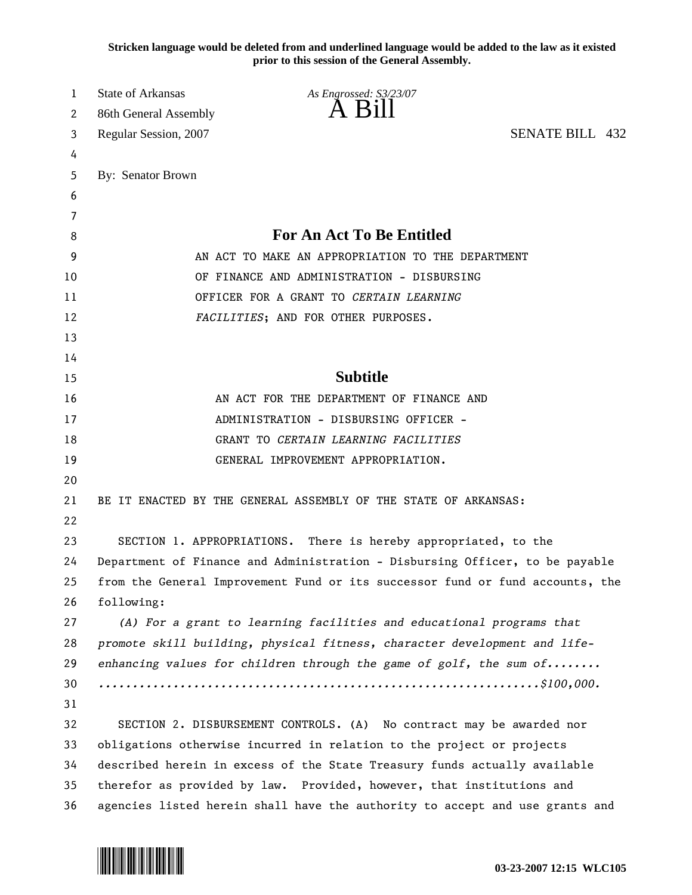**Stricken language would be deleted from and underlined language would be added to the law as it existed prior to this session of the General Assembly.**

| 1  | State of Arkansas                                                            | As Engrossed: S3/23/07                                                        |                        |  |
|----|------------------------------------------------------------------------------|-------------------------------------------------------------------------------|------------------------|--|
| 2  | 86th General Assembly                                                        | A B1                                                                          |                        |  |
| 3  | Regular Session, 2007                                                        |                                                                               | <b>SENATE BILL 432</b> |  |
| 4  |                                                                              |                                                                               |                        |  |
| 5  | By: Senator Brown                                                            |                                                                               |                        |  |
| 6  |                                                                              |                                                                               |                        |  |
| 7  |                                                                              |                                                                               |                        |  |
| 8  | For An Act To Be Entitled                                                    |                                                                               |                        |  |
| 9  | AN ACT TO MAKE AN APPROPRIATION TO THE DEPARTMENT                            |                                                                               |                        |  |
| 10 |                                                                              | OF FINANCE AND ADMINISTRATION - DISBURSING                                    |                        |  |
| 11 |                                                                              | OFFICER FOR A GRANT TO CERTAIN LEARNING                                       |                        |  |
| 12 |                                                                              | FACILITIES; AND FOR OTHER PURPOSES.                                           |                        |  |
| 13 |                                                                              |                                                                               |                        |  |
| 14 |                                                                              |                                                                               |                        |  |
| 15 |                                                                              | <b>Subtitle</b>                                                               |                        |  |
| 16 | AN ACT FOR THE DEPARTMENT OF FINANCE AND                                     |                                                                               |                        |  |
| 17 | ADMINISTRATION - DISBURSING OFFICER -                                        |                                                                               |                        |  |
| 18 | GRANT TO CERTAIN LEARNING FACILITIES                                         |                                                                               |                        |  |
| 19 |                                                                              | GENERAL IMPROVEMENT APPROPRIATION.                                            |                        |  |
| 20 |                                                                              |                                                                               |                        |  |
| 21 |                                                                              | BE IT ENACTED BY THE GENERAL ASSEMBLY OF THE STATE OF ARKANSAS:               |                        |  |
| 22 |                                                                              |                                                                               |                        |  |
| 23 |                                                                              | SECTION 1. APPROPRIATIONS. There is hereby appropriated, to the               |                        |  |
| 24 | Department of Finance and Administration - Disbursing Officer, to be payable |                                                                               |                        |  |
| 25 |                                                                              | from the General Improvement Fund or its successor fund or fund accounts, the |                        |  |
| 26 | following:                                                                   |                                                                               |                        |  |
| 27 |                                                                              | (A) For a grant to learning facilities and educational programs that          |                        |  |
| 28 |                                                                              | promote skill building, physical fitness, character development and life-     |                        |  |
| 29 |                                                                              | enhancing values for children through the game of $golf$ , the sum of         |                        |  |
| 30 |                                                                              |                                                                               |                        |  |
| 31 |                                                                              |                                                                               |                        |  |
| 32 |                                                                              | SECTION 2. DISBURSEMENT CONTROLS. (A) No contract may be awarded nor          |                        |  |
| 33 |                                                                              | obligations otherwise incurred in relation to the project or projects         |                        |  |
| 34 |                                                                              | described herein in excess of the State Treasury funds actually available     |                        |  |
| 35 |                                                                              | therefor as provided by law. Provided, however, that institutions and         |                        |  |
| 36 |                                                                              | agencies listed herein shall have the authority to accept and use grants and  |                        |  |